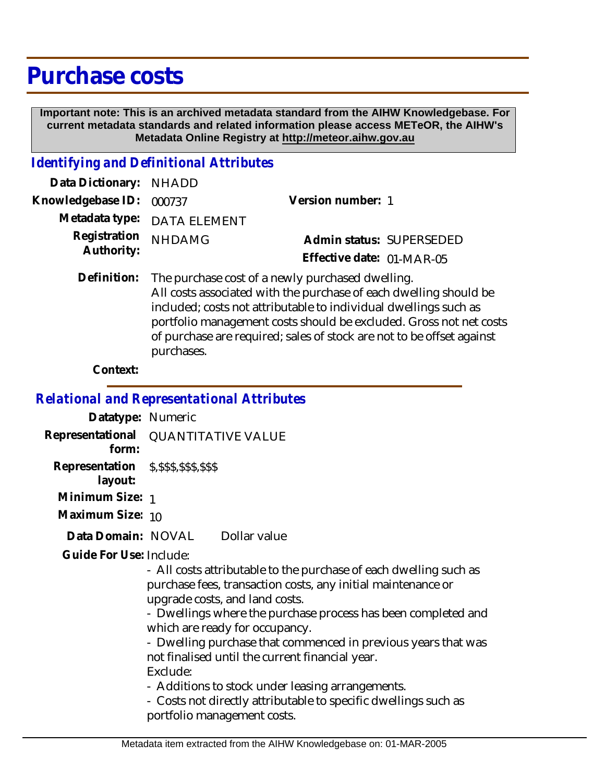## **Purchase costs**

 **Important note: This is an archived metadata standard from the AIHW Knowledgebase. For current metadata standards and related information please access METeOR, the AIHW's Metadata Online Registry at http://meteor.aihw.gov.au**

## *Identifying and Definitional Attributes*

| Data Dictionary: NHADD   |                             |                           |  |
|--------------------------|-----------------------------|---------------------------|--|
| Knowledgebase ID: 000737 |                             | Version number: 1         |  |
|                          | Metadata type: DATA ELEMENT |                           |  |
| Registration NHDAMG      |                             | Admin status: SUPERSEDED  |  |
| Authority:               |                             | Effective date: 01-MAR-05 |  |
|                          |                             |                           |  |

Definition: The purchase cost of a newly purchased dwelling. All costs associated with the purchase of each dwelling should be included; costs not attributable to individual dwellings such as portfolio management costs should be excluded. Gross not net costs of purchase are required; sales of stock are not to be offset against purchases.

## **Context:**

*Relational and Representational Attributes*

**Datatype:** Numeric **Representational** QUANTITATIVE VALUE  **form: Representation** \$,\$\$\$,\$\$\$,\$\$\$  **layout: Minimum Size:** 1 **Maximum Size:** 10

Dollar value **Data Domain:**

Guide For Use: Include:

- All costs attributable to the purchase of each dwelling such as purchase fees, transaction costs, any initial maintenance or upgrade costs, and land costs.

- Dwellings where the purchase process has been completed and which are ready for occupancy.

- Dwelling purchase that commenced in previous years that was not finalised until the current financial year. Exclude:

- Additions to stock under leasing arrangements.

- Costs not directly attributable to specific dwellings such as portfolio management costs.